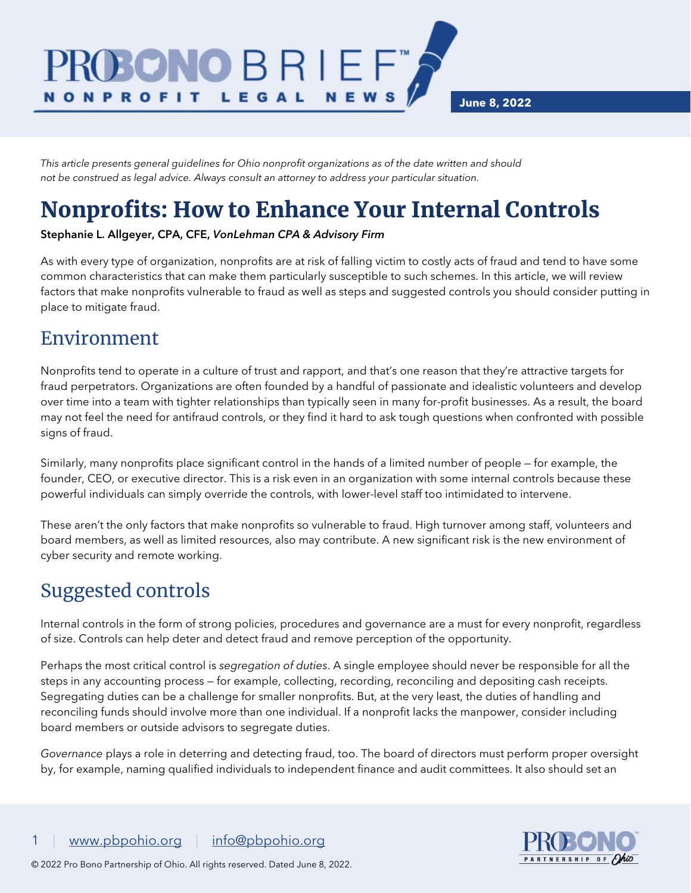**June 8, 2022**

*This article presents general guidelines for Ohio nonprofit organizations as of the date written and should not be construed as legal advice. Always consult an attorney to address your particular situation.*

BRI

LEGAL

# Nonprofits: How to Enhance Your Internal Controls

#### Stephanie L. Allgeyer, CPA, CFE, *VonLehman CPA & Advisory Firm*

As with every type of organization, nonprofits are at risk of falling victim to costly acts of fraud and tend to have some common characteristics that can make them particularly susceptible to such schemes. In this article, we will review factors that make nonprofits vulnerable to fraud as well as steps and suggested controls you should consider putting in place to mitigate fraud.

**NEWS** 

#### Environment

**N O N P R O F I T** 

Nonprofits tend to operate in a culture of trust and rapport, and that's one reason that they're attractive targets for fraud perpetrators. Organizations are often founded by a handful of passionate and idealistic volunteers and develop over time into a team with tighter relationships than typically seen in many for-profit businesses. As a result, the board may not feel the need for antifraud controls, or they find it hard to ask tough questions when confronted with possible signs of fraud.

Similarly, many nonprofits place significant control in the hands of a limited number of people — for example, the founder, CEO, or executive director. This is a risk even in an organization with some internal controls because these powerful individuals can simply override the controls, with lower-level staff too intimidated to intervene.

These aren't the only factors that make nonprofits so vulnerable to fraud. High turnover among staff, volunteers and board members, as well as limited resources, also may contribute. A new significant risk is the new environment of cyber security and remote working.

## Suggested controls

Internal controls in the form of strong policies, procedures and governance are a must for every nonprofit, regardless of size. Controls can help deter and detect fraud and remove perception of the opportunity.

Perhaps the most critical control is *segregation of duties*. A single employee should never be responsible for all the steps in any accounting process — for example, collecting, recording, reconciling and depositing cash receipts. Segregating duties can be a challenge for smaller nonprofits. But, at the very least, the duties of handling and reconciling funds should involve more than one individual. If a nonprofit lacks the manpower, consider including board members or outside advisors to segregate duties.

*Governance* plays a role in deterring and detecting fraud, too. The board of directors must perform proper oversight by, for example, naming qualified individuals to independent finance and audit committees. It also should set an